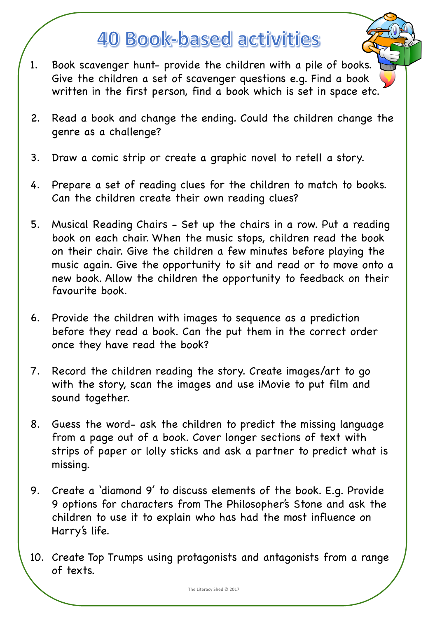## **40 Book-based activities**

- 1. Book scavenger hunt- provide the children with a pile of books. Give the children a set of scavenger questions e.g. Find a book written in the first person, find a book which is set in space etc.
- 2. Read a book and change the ending. Could the children change the genre as a challenge?
- 3. Draw a comic strip or create a graphic novel to retell a story.
- 4. Prepare a set of reading clues for the children to match to books. Can the children create their own reading clues?
- 5. Musical Reading Chairs Set up the chairs in a row. Put a reading book on each chair. When the music stops, children read the book on their chair. Give the children a few minutes before playing the music again. Give the opportunity to sit and read or to move onto a new book. Allow the children the opportunity to feedback on their favourite book.
- 6. Provide the children with images to sequence as a prediction before they read a book. Can the put them in the correct order once they have read the book?
- 7. Record the children reading the story. Create images/art to go with the story, scan the images and use iMovie to put film and sound together.
- 8. Guess the word- ask the children to predict the missing language from a page out of a book. Cover longer sections of text with strips of paper or lolly sticks and ask a partner to predict what is missing.
- 9. Create a 'diamond 9' to discuss elements of the book. E.g. Provide 9 options for characters from The Philosopher's Stone and ask the children to use it to explain who has had the most influence on Harry's life.
- 10. Create Top Trumps using protagonists and antagonists from a range of texts.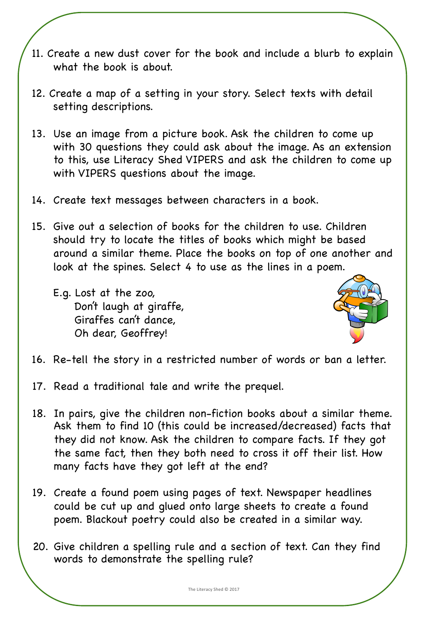- 11. Create a new dust cover for the book and include a blurb to explain what the book is about.
- 12. Create a map of a setting in your story. Select texts with detail setting descriptions.
- 13. Use an image from a picture book. Ask the children to come up with 30 questions they could ask about the image. As an extension to this, use Literacy Shed VIPERS and ask the children to come up with VIPERS questions about the image.
- 14. Create text messages between characters in a book.
- 15. Give out a selection of books for the children to use. Children should try to locate the titles of books which might be based around a similar theme. Place the books on top of one another and look at the spines. Select 4 to use as the lines in a poem.
	- E.g. Lost at the zoo, Don't laugh at giraffe, Giraffes can't dance, Oh dear, Geoffrey!



- 16. Re-tell the story in a restricted number of words or ban a letter.
- 17. Read a traditional tale and write the prequel.
- 18. In pairs, give the children non-fiction books about a similar theme. Ask them to find 10 (this could be increased/decreased) facts that they did not know. Ask the children to compare facts. If they got the same fact, then they both need to cross it off their list. How many facts have they got left at the end?
- 19. Create a found poem using pages of text. Newspaper headlines could be cut up and glued onto large sheets to create a found poem. Blackout poetry could also be created in a similar way.
- 20. Give children a spelling rule and a section of text. Can they find words to demonstrate the spelling rule?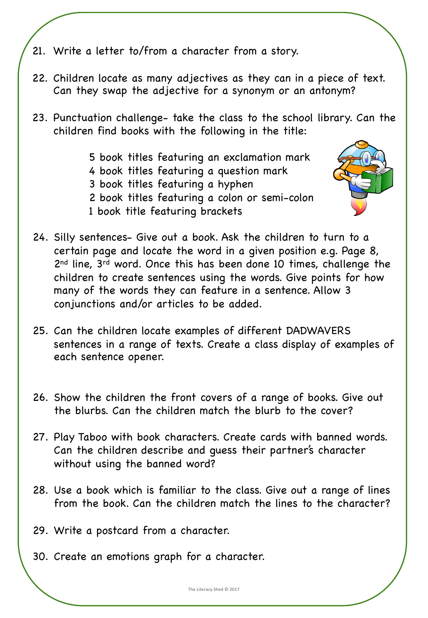- 21. Write a letter to/from a character from a story.
- 22. Children locate as many adjectives as they can in a piece of text. Can they swap the adjective for a synonym or an antonym?
- 23. Punctuation challenge- take the class to the school library. Can the children find books with the following in the title:
	- 5 book titles featuring an exclamation mark
	- 4 book titles featuring a question mark
	- 3 book titles featuring a hyphen
	- 2 book titles featuring a colon or semi-colon
	- 1 book title featuring brackets



- 25. Can the children locate examples of different DADWAVERS sentences in a range of texts. Create a class display of examples of each sentence opener.
- 26. Show the children the front covers of a range of books. Give out the blurbs. Can the children match the blurb to the cover?
- 27. Play Taboo with book characters. Create cards with banned words. Can the children describe and guess their partner's character without using the banned word?
- 28. Use a book which is familiar to the class. Give out a range of lines from the book. Can the children match the lines to the character?
- 29. Write a postcard from a character.
- 30. Create an emotions graph for a character.